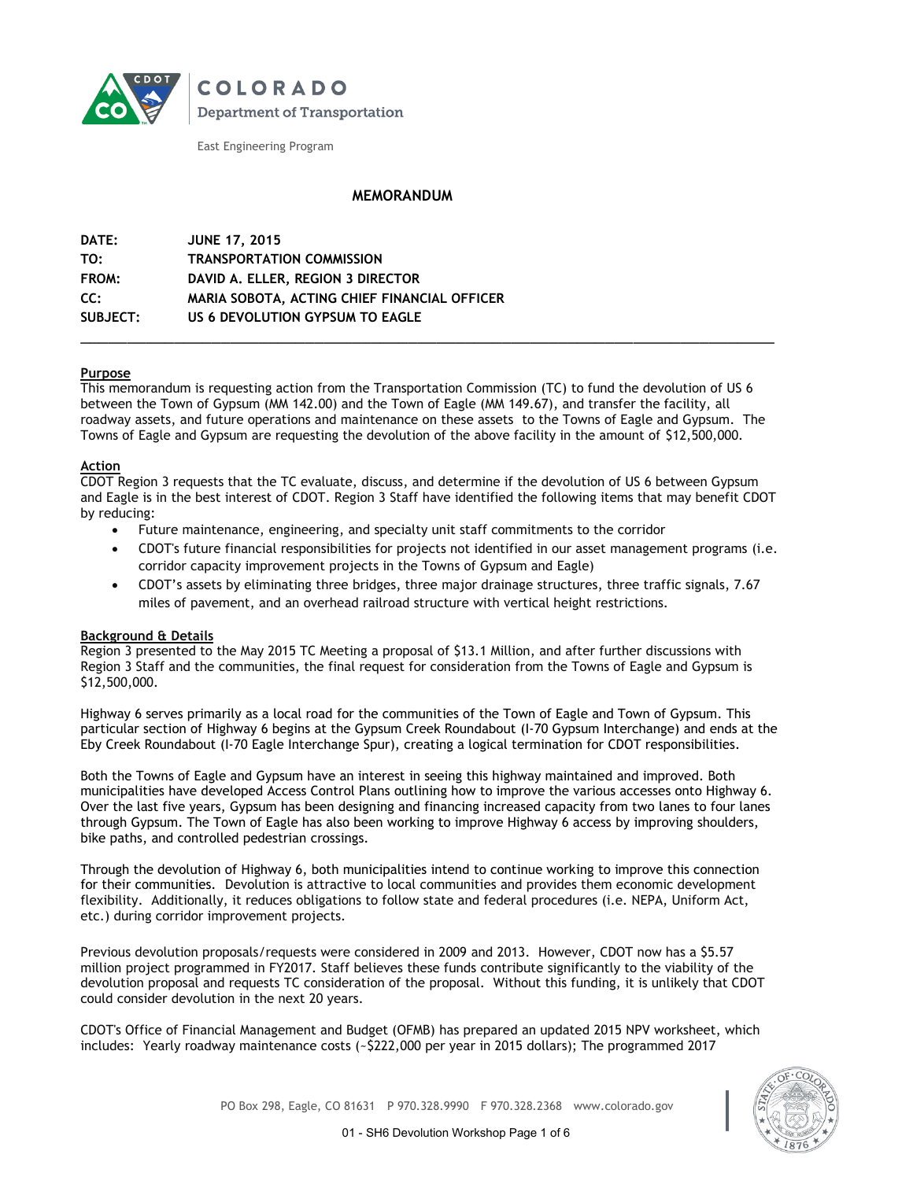

**COLORADO Department of Transportation** 

East Engineering Program

## **MEMORANDUM**

| DATE:    | <b>JUNE 17, 2015</b>                         |
|----------|----------------------------------------------|
| TO:      | <b>TRANSPORTATION COMMISSION</b>             |
| FROM:    | DAVID A. ELLER, REGION 3 DIRECTOR            |
| CC:      | MARIA SOBOTA, ACTING CHIEF FINANCIAL OFFICER |
| SUBJECT: | US 6 DEVOLUTION GYPSUM TO EAGLE              |
|          |                                              |

### **Purpose**

This memorandum is requesting action from the Transportation Commission (TC) to fund the devolution of US 6 between the Town of Gypsum (MM 142.00) and the Town of Eagle (MM 149.67), and transfer the facility, all roadway assets, and future operations and maintenance on these assets to the Towns of Eagle and Gypsum. The Towns of Eagle and Gypsum are requesting the devolution of the above facility in the amount of \$12,500,000.

### **Action**

CDOT Region 3 requests that the TC evaluate, discuss, and determine if the devolution of US 6 between Gypsum and Eagle is in the best interest of CDOT. Region 3 Staff have identified the following items that may benefit CDOT by reducing:

- Future maintenance, engineering, and specialty unit staff commitments to the corridor
- CDOT's future financial responsibilities for projects not identified in our asset management programs (i.e. corridor capacity improvement projects in the Towns of Gypsum and Eagle)
- CDOT's assets by eliminating three bridges, three major drainage structures, three traffic signals, 7.67 miles of pavement, and an overhead railroad structure with vertical height restrictions.

### **Background & Details**

Region 3 presented to the May 2015 TC Meeting a proposal of \$13.1 Million, and after further discussions with Region 3 Staff and the communities, the final request for consideration from the Towns of Eagle and Gypsum is \$12,500,000.

Highway 6 serves primarily as a local road for the communities of the Town of Eagle and Town of Gypsum. This particular section of Highway 6 begins at the Gypsum Creek Roundabout (I-70 Gypsum Interchange) and ends at the Eby Creek Roundabout (I-70 Eagle Interchange Spur), creating a logical termination for CDOT responsibilities.

Both the Towns of Eagle and Gypsum have an interest in seeing this highway maintained and improved. Both municipalities have developed Access Control Plans outlining how to improve the various accesses onto Highway 6. Over the last five years, Gypsum has been designing and financing increased capacity from two lanes to four lanes through Gypsum. The Town of Eagle has also been working to improve Highway 6 access by improving shoulders, bike paths, and controlled pedestrian crossings.

Through the devolution of Highway 6, both municipalities intend to continue working to improve this connection for their communities. Devolution is attractive to local communities and provides them economic development flexibility. Additionally, it reduces obligations to follow state and federal procedures (i.e. NEPA, Uniform Act, etc.) during corridor improvement projects.

Previous devolution proposals/requests were considered in 2009 and 2013. However, CDOT now has a \$5.57 million project programmed in FY2017. Staff believes these funds contribute significantly to the viability of the devolution proposal and requests TC consideration of the proposal. Without this funding, it is unlikely that CDOT could consider devolution in the next 20 years.

CDOT's Office of Financial Management and Budget (OFMB) has prepared an updated 2015 NPV worksheet, which includes: Yearly roadway maintenance costs (~\$222,000 per year in 2015 dollars); The programmed 2017



PO Box 298, Eagle, CO 81631 P 970.328.9990 F 970.328.2368 www.colorado.gov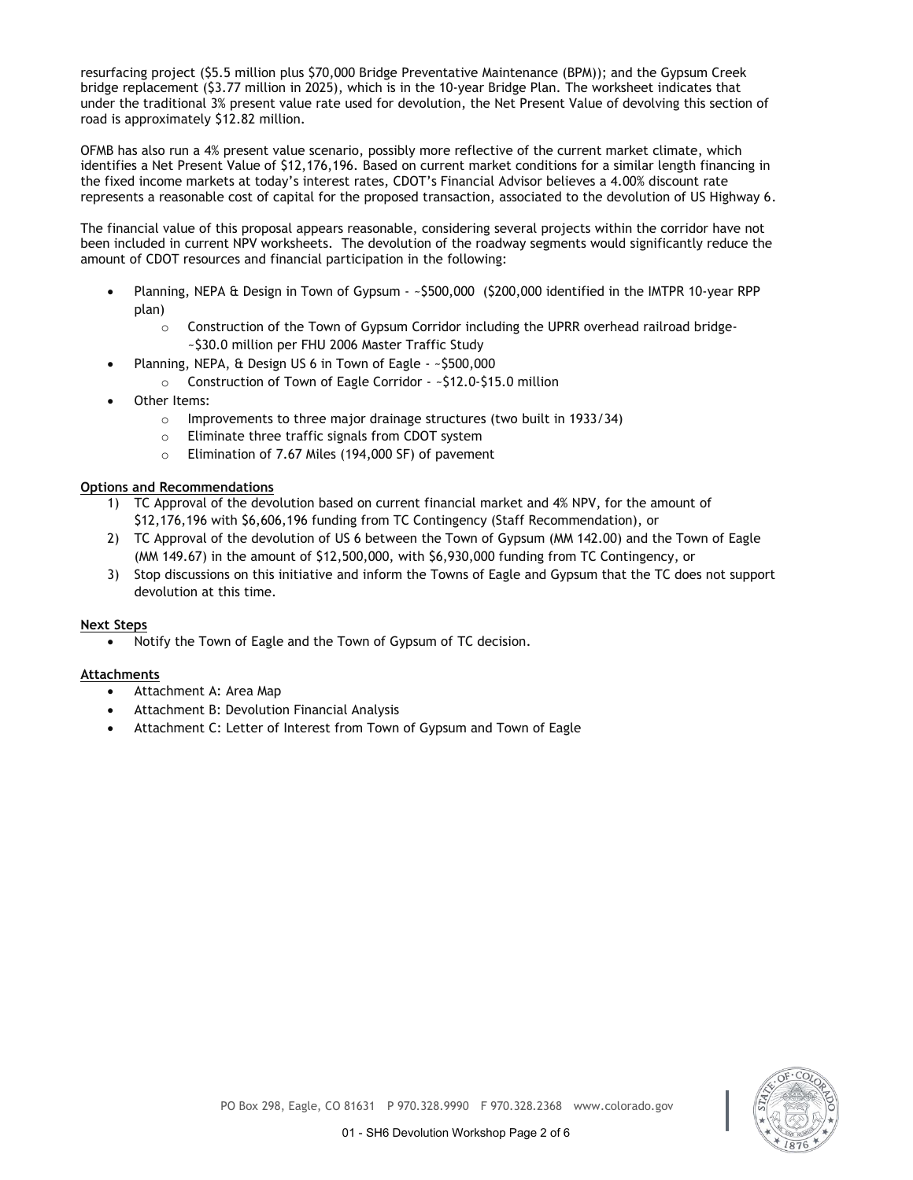resurfacing project (\$5.5 million plus \$70,000 Bridge Preventative Maintenance (BPM)); and the Gypsum Creek bridge replacement (\$3.77 million in 2025), which is in the 10-year Bridge Plan. The worksheet indicates that under the traditional 3% present value rate used for devolution, the Net Present Value of devolving this section of road is approximately \$12.82 million.

OFMB has also run a 4% present value scenario, possibly more reflective of the current market climate, which identifies a Net Present Value of \$12,176,196. Based on current market conditions for a similar length financing in the fixed income markets at today's interest rates, CDOT's Financial Advisor believes a 4.00% discount rate represents a reasonable cost of capital for the proposed transaction, associated to the devolution of US Highway 6.

The financial value of this proposal appears reasonable, considering several projects within the corridor have not been included in current NPV worksheets. The devolution of the roadway segments would significantly reduce the amount of CDOT resources and financial participation in the following:

- Planning, NEPA & Design in Town of Gypsum ~\$500,000 (\$200,000 identified in the IMTPR 10-year RPP plan)
	- o Construction of the Town of Gypsum Corridor including the UPRR overhead railroad bridge- ~\$30.0 million per FHU 2006 Master Traffic Study
	- Planning, NEPA, & Design US 6 in Town of Eagle ~\$500,000
		- o Construction of Town of Eagle Corridor ~\$12.0-\$15.0 million
- Other Items:
	- o Improvements to three major drainage structures (two built in 1933/34)
	- o Eliminate three traffic signals from CDOT system
	- o Elimination of 7.67 Miles (194,000 SF) of pavement

### **Options and Recommendations**

- 1) TC Approval of the devolution based on current financial market and 4% NPV, for the amount of \$12,176,196 with \$6,606,196 funding from TC Contingency (Staff Recommendation), or
- 2) TC Approval of the devolution of US 6 between the Town of Gypsum (MM 142.00) and the Town of Eagle (MM 149.67) in the amount of \$12,500,000, with \$6,930,000 funding from TC Contingency, or
- 3) Stop discussions on this initiative and inform the Towns of Eagle and Gypsum that the TC does not support devolution at this time.

### **Next Steps**

Notify the Town of Eagle and the Town of Gypsum of TC decision.

### **Attachments**

- Attachment A: Area Map
- Attachment B: Devolution Financial Analysis
- Attachment C: Letter of Interest from Town of Gypsum and Town of Eagle

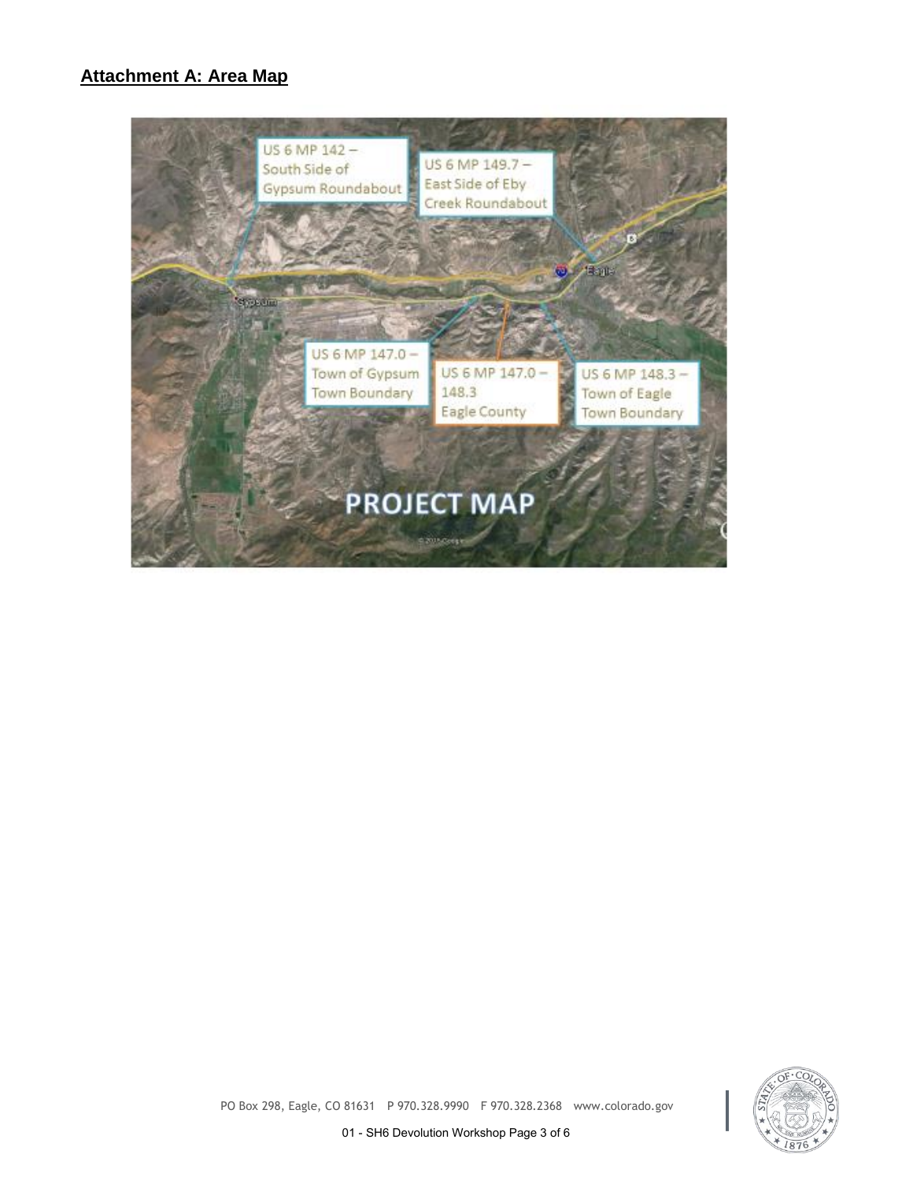# **Attachment A: Area Map**





PO Box 298, Eagle, CO 81631 P 970.328.9990 F 970.328.2368 www.colorado.gov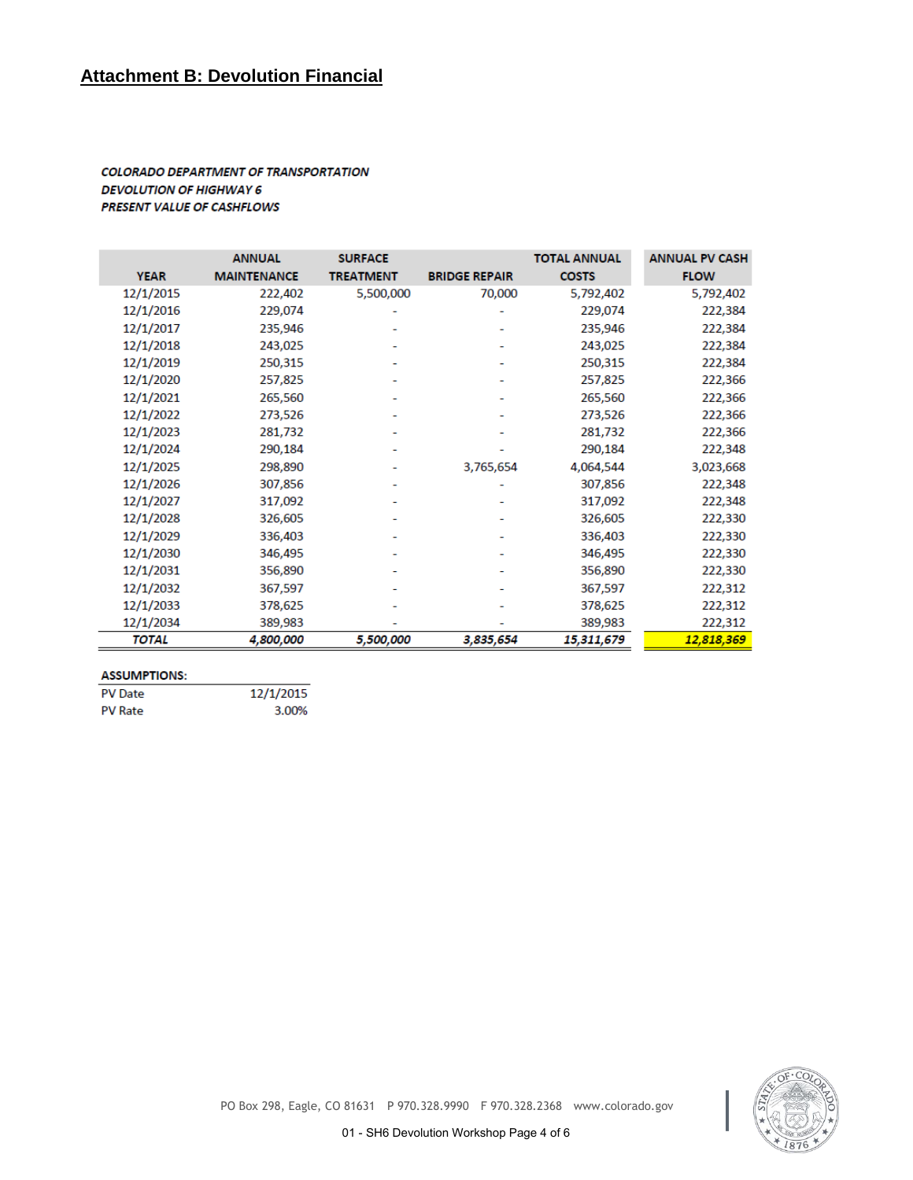# **Attachment B: Devolution Financial**

## **COLORADO DEPARTMENT OF TRANSPORTATION DEVOLUTION OF HIGHWAY 6 PRESENT VALUE OF CASHFLOWS**

|              | <b>ANNUAL</b>      | <b>SURFACE</b>   |                      | <b>TOTAL ANNUAL</b> | <b>ANNUAL PV CASH</b> |
|--------------|--------------------|------------------|----------------------|---------------------|-----------------------|
| <b>YEAR</b>  | <b>MAINTENANCE</b> | <b>TREATMENT</b> | <b>BRIDGE REPAIR</b> | <b>COSTS</b>        | <b>FLOW</b>           |
| 12/1/2015    | 222,402            | 5,500,000        | 70,000               | 5,792,402           | 5,792,402             |
| 12/1/2016    | 229,074            |                  |                      | 229,074             | 222,384               |
| 12/1/2017    | 235,946            |                  |                      | 235,946             | 222,384               |
| 12/1/2018    | 243,025            |                  |                      | 243,025             | 222,384               |
| 12/1/2019    | 250,315            |                  |                      | 250,315             | 222,384               |
| 12/1/2020    | 257,825            |                  |                      | 257,825             | 222,366               |
| 12/1/2021    | 265,560            |                  |                      | 265,560             | 222,366               |
| 12/1/2022    | 273,526            |                  |                      | 273,526             | 222,366               |
| 12/1/2023    | 281,732            |                  |                      | 281,732             | 222,366               |
| 12/1/2024    | 290,184            |                  |                      | 290,184             | 222,348               |
| 12/1/2025    | 298,890            |                  | 3,765,654            | 4,064,544           | 3,023,668             |
| 12/1/2026    | 307,856            |                  |                      | 307,856             | 222,348               |
| 12/1/2027    | 317,092            |                  |                      | 317,092             | 222,348               |
| 12/1/2028    | 326,605            |                  |                      | 326,605             | 222,330               |
| 12/1/2029    | 336,403            |                  |                      | 336,403             | 222,330               |
| 12/1/2030    | 346,495            |                  |                      | 346,495             | 222,330               |
| 12/1/2031    | 356,890            |                  |                      | 356,890             | 222,330               |
| 12/1/2032    | 367,597            |                  |                      | 367,597             | 222,312               |
| 12/1/2033    | 378,625            |                  |                      | 378,625             | 222,312               |
| 12/1/2034    | 389,983            |                  |                      | 389,983             | 222,312               |
| <b>TOTAL</b> | 4,800,000          | 5,500,000        | 3,835,654            | 15,311,679          | 12,818,369            |

### **ASSUMPTIONS:**

| <b>PV</b> Date | 12/1/2015 |
|----------------|-----------|
| <b>PV Rate</b> | 3.00%     |

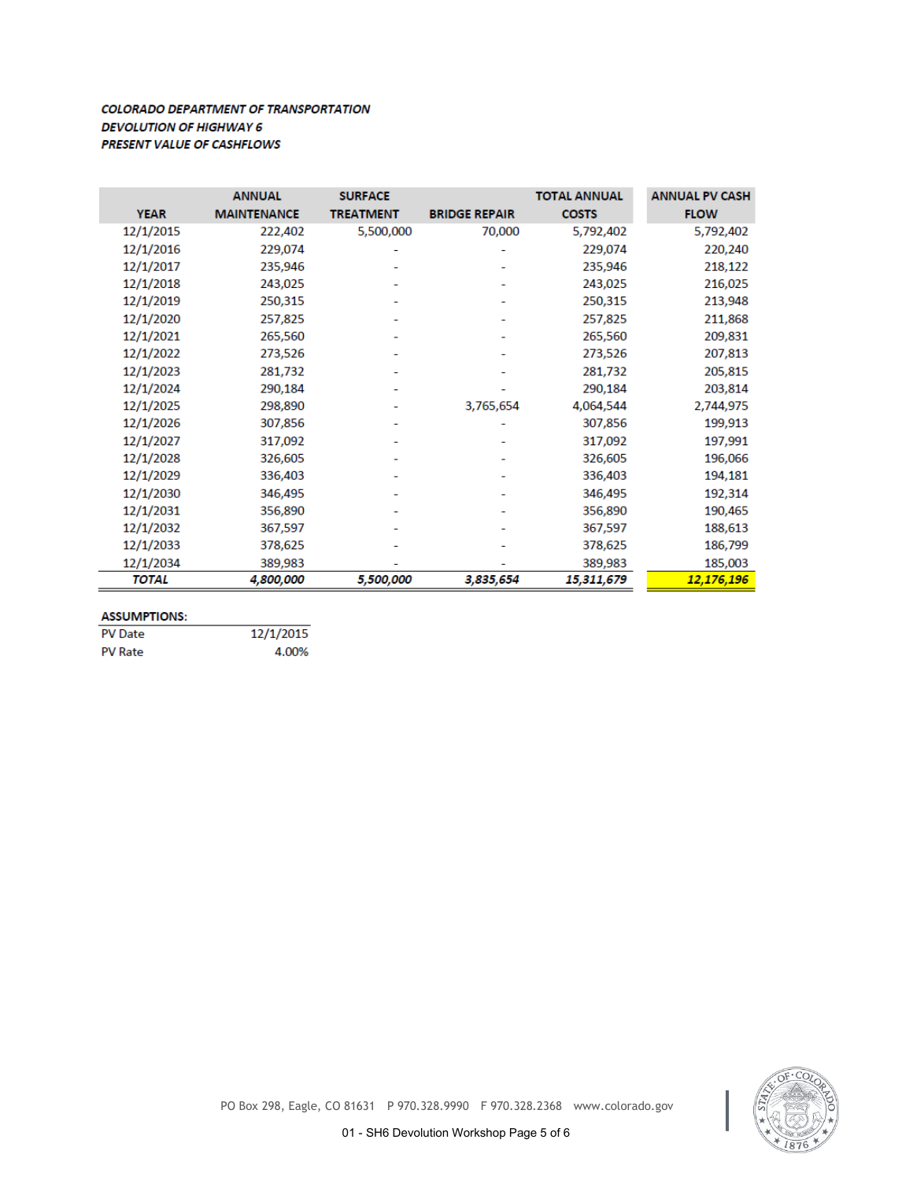## **COLORADO DEPARTMENT OF TRANSPORTATION DEVOLUTION OF HIGHWAY 6 PRESENT VALUE OF CASHFLOWS**

|              | <b>ANNUAL</b>      | <b>SURFACE</b>   |                      | <b>TOTAL ANNUAL</b> | <b>ANNUAL PV CASH</b> |
|--------------|--------------------|------------------|----------------------|---------------------|-----------------------|
| <b>YEAR</b>  | <b>MAINTENANCE</b> | <b>TREATMENT</b> | <b>BRIDGE REPAIR</b> | <b>COSTS</b>        | <b>FLOW</b>           |
| 12/1/2015    | 222,402            | 5,500,000        | 70,000               | 5,792,402           | 5,792,402             |
| 12/1/2016    | 229,074            |                  |                      | 229,074             | 220,240               |
| 12/1/2017    | 235,946            |                  |                      | 235,946             | 218,122               |
| 12/1/2018    | 243,025            |                  |                      | 243,025             | 216,025               |
| 12/1/2019    | 250,315            |                  |                      | 250,315             | 213,948               |
| 12/1/2020    | 257,825            |                  |                      | 257,825             | 211,868               |
| 12/1/2021    | 265,560            |                  |                      | 265,560             | 209,831               |
| 12/1/2022    | 273,526            |                  |                      | 273,526             | 207,813               |
| 12/1/2023    | 281,732            |                  |                      | 281,732             | 205,815               |
| 12/1/2024    | 290,184            |                  |                      | 290,184             | 203,814               |
| 12/1/2025    | 298,890            |                  | 3,765,654            | 4,064,544           | 2,744,975             |
| 12/1/2026    | 307,856            |                  |                      | 307,856             | 199,913               |
| 12/1/2027    | 317,092            |                  |                      | 317,092             | 197,991               |
| 12/1/2028    | 326,605            |                  |                      | 326,605             | 196,066               |
| 12/1/2029    | 336,403            |                  |                      | 336,403             | 194,181               |
| 12/1/2030    | 346,495            |                  |                      | 346,495             | 192,314               |
| 12/1/2031    | 356,890            |                  |                      | 356,890             | 190,465               |
| 12/1/2032    | 367,597            |                  |                      | 367,597             | 188,613               |
| 12/1/2033    | 378,625            |                  |                      | 378,625             | 186,799               |
| 12/1/2034    | 389,983            |                  |                      | 389,983             | 185,003               |
| <b>TOTAL</b> | 4,800,000          | 5,500,000        | 3,835,654            | 15,311,679          | <u>12,176,196</u>     |

### **ASSUMPTIONS:**

| <b>PV</b> Date | 12/1/2015 |
|----------------|-----------|
| <b>PV Rate</b> | 4.00%     |